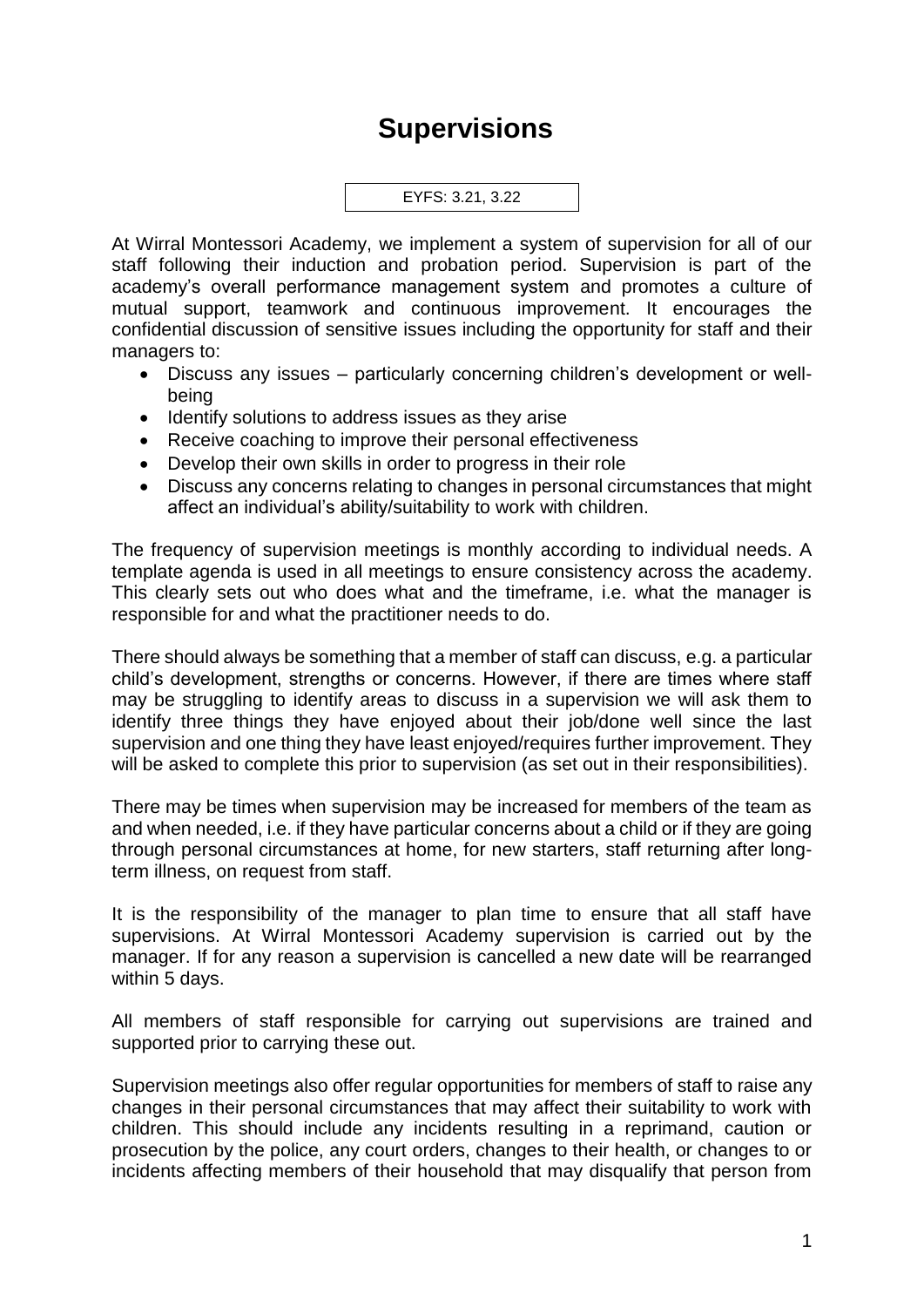## **Supervisions**



At Wirral Montessori Academy, we implement a system of supervision for all of our staff following their induction and probation period. Supervision is part of the academy's overall performance management system and promotes a culture of mutual support, teamwork and continuous improvement. It encourages the confidential discussion of sensitive issues including the opportunity for staff and their managers to:

- Discuss any issues particularly concerning children's development or wellbeing
- Identify solutions to address issues as they arise
- Receive coaching to improve their personal effectiveness
- Develop their own skills in order to progress in their role
- Discuss any concerns relating to changes in personal circumstances that might affect an individual's ability/suitability to work with children.

The frequency of supervision meetings is monthly according to individual needs. A template agenda is used in all meetings to ensure consistency across the academy. This clearly sets out who does what and the timeframe, i.e. what the manager is responsible for and what the practitioner needs to do.

There should always be something that a member of staff can discuss, e.g. a particular child's development, strengths or concerns. However, if there are times where staff may be struggling to identify areas to discuss in a supervision we will ask them to identify three things they have enjoyed about their job/done well since the last supervision and one thing they have least enjoyed/requires further improvement. They will be asked to complete this prior to supervision (as set out in their responsibilities).

There may be times when supervision may be increased for members of the team as and when needed, i.e. if they have particular concerns about a child or if they are going through personal circumstances at home, for new starters, staff returning after longterm illness, on request from staff.

It is the responsibility of the manager to plan time to ensure that all staff have supervisions. At Wirral Montessori Academy supervision is carried out by the manager. If for any reason a supervision is cancelled a new date will be rearranged within 5 days.

All members of staff responsible for carrying out supervisions are trained and supported prior to carrying these out.

Supervision meetings also offer regular opportunities for members of staff to raise any changes in their personal circumstances that may affect their suitability to work with children. This should include any incidents resulting in a reprimand, caution or prosecution by the police, any court orders, changes to their health, or changes to or incidents affecting members of their household that may disqualify that person from